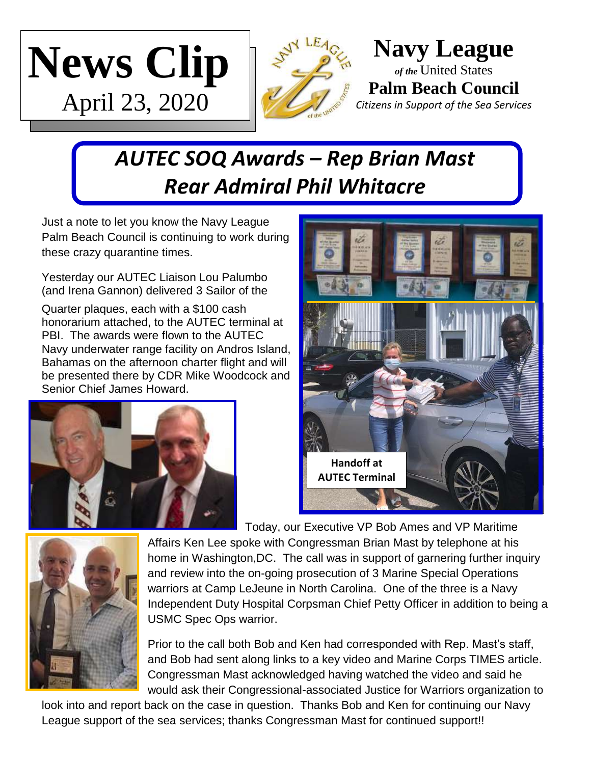



**Navy League** *of the* United States **Palm Beach Council** *Citizens in Support of the Sea Services*

## *AUTEC SOQ Awards – Rep Brian Mast Rear Admiral Phil Whitacre*

Just a note to let you know the Navy League Palm Beach Council is continuing to work during these crazy quarantine times.

Yesterday our AUTEC Liaison Lou Palumbo (and Irena Gannon) delivered 3 Sailor of the

Quarter plaques, each with a \$100 cash honorarium attached, to the AUTEC terminal at PBI. The awards were flown to the AUTEC Navy underwater range facility on Andros Island, Bahamas on the afternoon charter flight and will be presented there by CDR Mike Woodcock and Senior Chief James Howard.





Today, our Executive VP Bob Ames and VP Maritime



Affairs Ken Lee spoke with Congressman Brian Mast by telephone at his home in Washington,DC. The call was in support of garnering further inquiry and review into the on-going prosecution of 3 Marine Special Operations warriors at Camp LeJeune in North Carolina. One of the three is a Navy Independent Duty Hospital Corpsman Chief Petty Officer in addition to being a USMC Spec Ops warrior.

Prior to the call both Bob and Ken had corresponded with Rep. Mast's staff, and Bob had sent along links to a key video and Marine Corps TIMES article. Congressman Mast acknowledged having watched the video and said he would ask their Congressional-associated Justice for Warriors organization to

look into and report back on the case in question. Thanks Bob and Ken for continuing our Navy League support of the sea services; thanks Congressman Mast for continued support!!